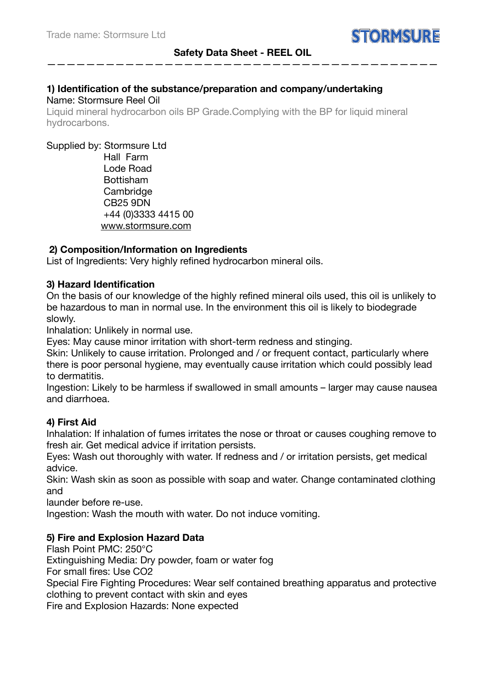————————————————————————————————————————

# **1) Identification of the substance/preparation and company/undertaking**  Name: Stormsure Reel Oil

Liquid mineral hydrocarbon oils BP Grade.Complying with the BP for liquid mineral hydrocarbons.

Supplied by: Stormsure Ltd

 Hall Farm Lode Road Bottisham Cambridge CB25 9DN +44 (0)3333 4415 00 www.stormsure.com

# **2) Composition/Information on Ingredients**

List of Ingredients: Very highly refined hydrocarbon mineral oils.

## **3) Hazard Identification**

On the basis of our knowledge of the highly refined mineral oils used, this oil is unlikely to be hazardous to man in normal use. In the environment this oil is likely to biodegrade slowly.

Inhalation: Unlikely in normal use.

Eyes: May cause minor irritation with short-term redness and stinging.

Skin: Unlikely to cause irritation. Prolonged and / or frequent contact, particularly where there is poor personal hygiene, may eventually cause irritation which could possibly lead to dermatitis.

Ingestion: Likely to be harmless if swallowed in small amounts – larger may cause nausea and diarrhoea.

# **4) First Aid**

Inhalation: If inhalation of fumes irritates the nose or throat or causes coughing remove to fresh air. Get medical advice if irritation persists.

Eyes: Wash out thoroughly with water. If redness and / or irritation persists, get medical advice.

Skin: Wash skin as soon as possible with soap and water. Change contaminated clothing and

launder before re-use.

Ingestion: Wash the mouth with water. Do not induce vomiting.

# **5) Fire and Explosion Hazard Data**

Flash Point PMC: 250°C

Extinguishing Media: Dry powder, foam or water fog

For small fires: Use CO2

Special Fire Fighting Procedures: Wear self contained breathing apparatus and protective clothing to prevent contact with skin and eyes

Fire and Explosion Hazards: None expected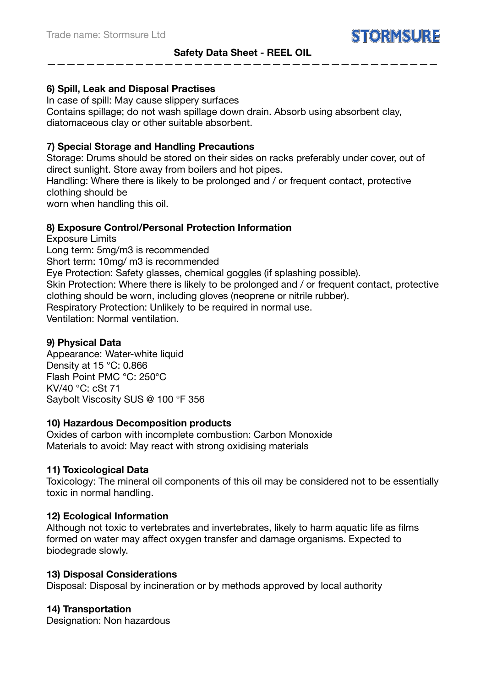# **Safety Data Sheet - REEL OIL**  ————————————————————————————————————————

# **6) Spill, Leak and Disposal Practises**

In case of spill: May cause slippery surfaces Contains spillage; do not wash spillage down drain. Absorb using absorbent clay, diatomaceous clay or other suitable absorbent.

# **7) Special Storage and Handling Precautions**

Storage: Drums should be stored on their sides on racks preferably under cover, out of direct sunlight. Store away from boilers and hot pipes.

Handling: Where there is likely to be prolonged and / or frequent contact, protective clothing should be

worn when handling this oil.

## **8) Exposure Control/Personal Protection Information**

Exposure Limits

Long term: 5mg/m3 is recommended

Short term: 10mg/ m3 is recommended

Eye Protection: Safety glasses, chemical goggles (if splashing possible).

Skin Protection: Where there is likely to be prolonged and / or frequent contact, protective clothing should be worn, including gloves (neoprene or nitrile rubber).

Respiratory Protection: Unlikely to be required in normal use.

Ventilation: Normal ventilation.

## **9) Physical Data**

Appearance: Water-white liquid Density at 15 °C: 0.866 Flash Point PMC °C: 250°C KV/40 °C: cSt 71 Saybolt Viscosity SUS @ 100 °F 356

## **10) Hazardous Decomposition products**

Oxides of carbon with incomplete combustion: Carbon Monoxide Materials to avoid: May react with strong oxidising materials

### **11) Toxicological Data**

Toxicology: The mineral oil components of this oil may be considered not to be essentially toxic in normal handling.

### **12) Ecological Information**

Although not toxic to vertebrates and invertebrates, likely to harm aquatic life as films formed on water may affect oxygen transfer and damage organisms. Expected to biodegrade slowly.

### **13) Disposal Considerations**

Disposal: Disposal by incineration or by methods approved by local authority

### **14) Transportation**

Designation: Non hazardous